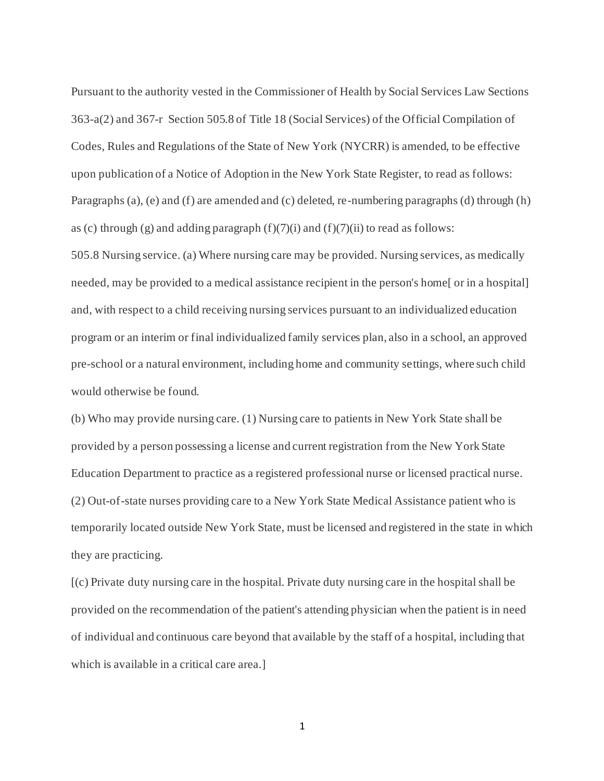Pursuant to the authority vested in the Commissioner of Health by Social Services Law Sections 363-a(2) and 367-r Section 505.8 of Title 18 (Social Services) of the Official Compilation of Codes, Rules and Regulations of the State of New York (NYCRR) is amended, to be effective upon publication of a Notice of Adoption in the New York State Register, to read as follows: Paragraphs (a), (e) and (f) are amended and (c) deleted, re-numbering paragraphs (d) through (h) as (c) through (g) and adding paragraph  $(f)(7)(i)$  and  $(f)(7)(ii)$  to read as follows: 505.8 Nursing service. (a) Where nursing care may be provided. Nursing services, as medically needed, may be provided to a medical assistance recipient in the person's home[ or in a hospital] and, with respect to a child receiving nursing services pursuant to an individualized education program or an interim or final individualized family services plan, also in a school, an approved pre-school or a natural environment, including home and community settings, where such child would otherwise be found.

 (b) Who may provide nursing care. (1) Nursing care to patients in New York State shall be provided by a person possessing a license and current registration from the New York State Education Department to practice as a registered professional nurse or licensed practical nurse. (2) Out-of-state nurses providing care to a New York State Medical Assistance patient who is temporarily located outside New York State, must be licensed and registered in the state in which they are practicing.

 [(c) Private duty nursing care in the hospital. Private duty nursing care in the hospital shall be provided on the recommendation of the patient's attending physician when the patient is in need of individual and continuous care beyond that available by the staff of a hospital, including that which is available in a critical care area.]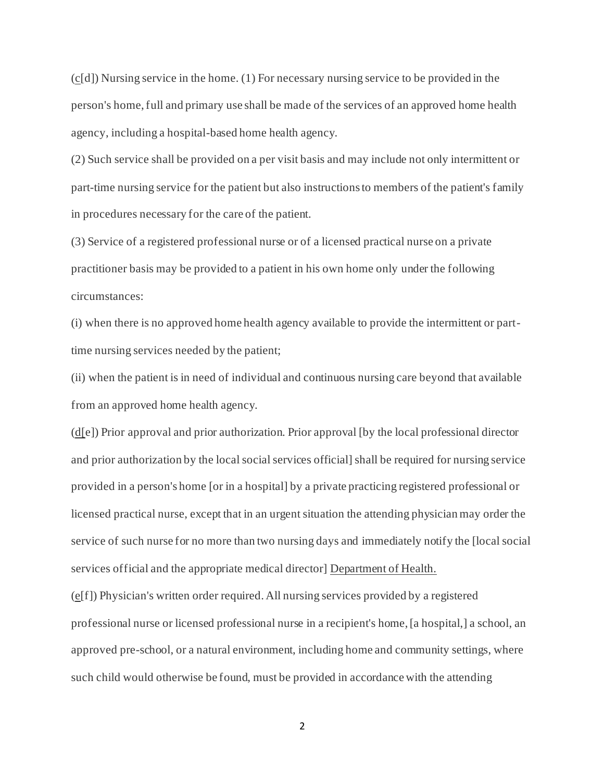$(c[d])$  Nursing service in the home. (1) For necessary nursing service to be provided in the person's home, full and primary use shall be made of the services of an approved home health agency, including a hospital-based home health agency.

 (2) Such service shall be provided on a per visit basis and may include not only intermittent or part-time nursing service for the patient but also instructions to members of the patient's family in procedures necessary for the care of the patient.

 (3) Service of a registered professional nurse or of a licensed practical nurse on a private practitioner basis may be provided to a patient in his own home only under the following circumstances:

 (i) when there is no approved home health agency available to provide the intermittent or part-time nursing services needed by the patient;

 (ii) when the patient is in need of individual and continuous nursing care beyond that available from an approved home health agency.

(d[e]) Prior approval and prior authorization. Prior approval [by the local professional director and prior authorization by the local social services official] shall be required for nursing service provided in a person's home [or in a hospital] by a private practicing registered professional or licensed practical nurse, except that in an urgent situation the attending physician may order the service of such nurse for no more than two nursing days and immediately notify the [local social services official and the appropriate medical director] Department of Health.

 (e[f]) Physician's written order required. All nursing services provided by a registered professional nurse or licensed professional nurse in a recipient's home, [a hospital,] a school, an approved pre-school, or a natural environment, including home and community settings, where such child would otherwise be found, must be provided in accordance with the attending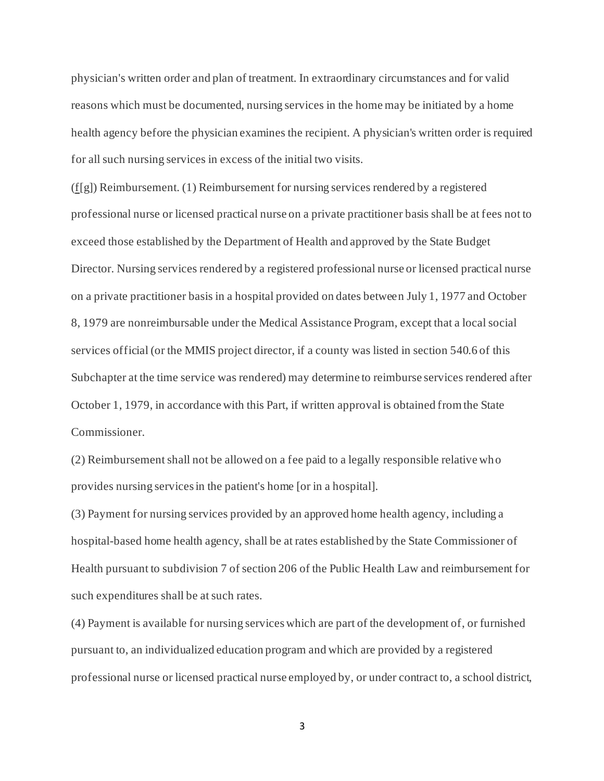physician's written order and plan of treatment. In extraordinary circumstances and for valid reasons which must be documented, nursing services in the home may be initiated by a home health agency before the physician examines the recipient. A physician's written order is required for all such nursing services in excess of the initial two visits.

(f[g]) Reimbursement. (1) Reimbursement for nursing services rendered by a registered professional nurse or licensed practical nurse on a private practitioner basis shall be at fees not to exceed those established by the Department of Health and approved by the State Budget Director. Nursing services rendered by a registered professional nurse or licensed practical nurse on a private practitioner basis in a hospital provided on dates between July 1, 1977 and October 8, 1979 are nonreimbursable under the Medical Assistance Program, except that a local social services official (or the MMIS project director, if a county was listed in section 540.6 of this Subchapter at the time service was rendered) may determine to reimburse services rendered after October 1, 1979, in accordance with this Part, if written approval is obtained from the State Commissioner.

 (2) Reimbursement shall not be allowed on a fee paid to a legally responsible relative wh o provides nursing services in the patient's home [or in a hospital].

 (3) Payment for nursing services provided by an approved home health agency, including a hospital-based home health agency, shall be at rates established by the State Commissioner of Health pursuant to subdivision 7 of section 206 of the Public Health Law and reimbursement for such expenditures shall be at such rates.

 (4) Payment is available for nursing services which are part of the development of, or furnished pursuant to, an individualized education program and which are provided by a registered professional nurse or licensed practical nurse employed by, or under contract to, a school district,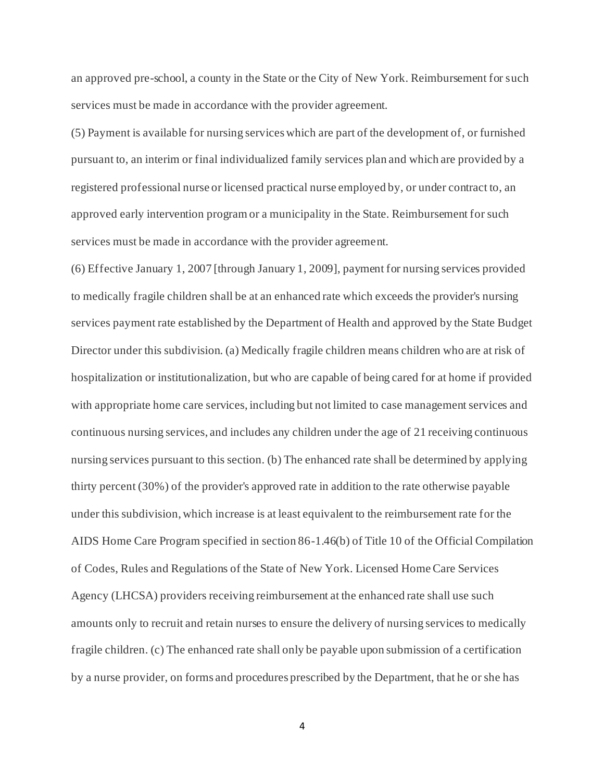an approved pre-school, a county in the State or the City of New York. Reimbursement for such services must be made in accordance with the provider agreement.

 (5) Payment is available for nursing services which are part of the development of, or furnished pursuant to, an interim or final individualized family services plan and which are provided by a registered professional nurse or licensed practical nurse employed by, or under contract to, an approved early intervention program or a municipality in the State. Reimbursement for such services must be made in accordance with the provider agreement.

 (6) Effective January 1, 2007 [through January 1, 2009], payment for nursing services provided to medically fragile children shall be at an enhanced rate which exceeds the provider's nursing services payment rate established by the Department of Health and approved by the State Budget Director under this subdivision. (a) Medically fragile children means children who are at risk of hospitalization or institutionalization, but who are capable of being cared for at home if provided with appropriate home care services, including but not limited to case management services and continuous nursing services, and includes any children under the age of 21 receiving continuous nursing services pursuant to this section. (b) The enhanced rate shall be determined by applying thirty percent (30%) of the provider's approved rate in addition to the rate otherwise payable under this subdivision, which increase is at least equivalent to the reimbursement rate for the AIDS Home Care Program specified in section 86-1.46(b) of Title 10 of the Official Compilation of Codes, Rules and Regulations of the State of New York. Licensed Home Care Services Agency (LHCSA) providers receiving reimbursement at the enhanced rate shall use such amounts only to recruit and retain nurses to ensure the delivery of nursing services to medically fragile children. (c) The enhanced rate shall only be payable upon submission of a certification by a nurse provider, on forms and procedures prescribed by the Department, that he or she has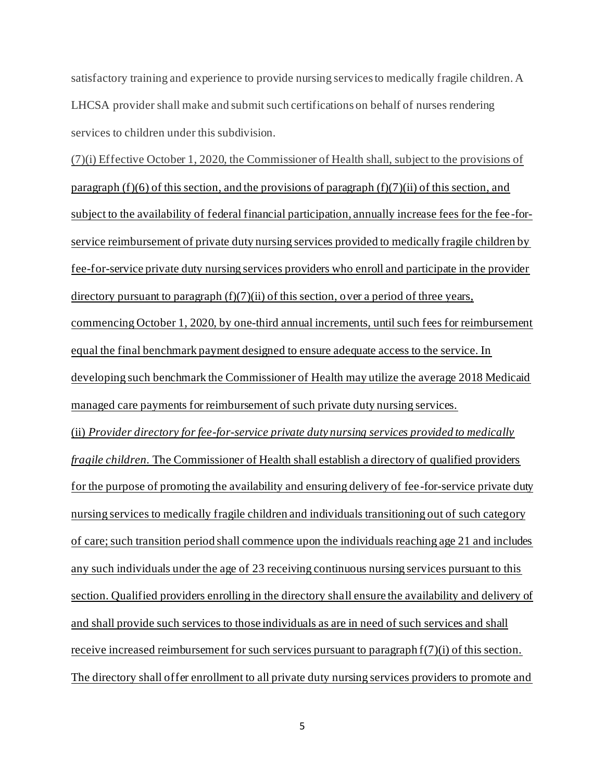satisfactory training and experience to provide nursing services to medically fragile children. A LHCSA provider shall make and submit such certifications on behalf of nurses rendering services to children under this subdivision.

 (7)(i) Effective October 1, 2020, the Commissioner of Health shall, subject to the provisions of paragraph (f)(6) of this section, and the provisions of paragraph (f)(7)(ii) of this section, and subject to the availability of federal financial participation, annually increase fees for the fee-for- service reimbursement of private duty nursing services provided to medically fragile children by fee-for-service private duty nursing services providers who enroll and participate in the provider directory pursuant to paragraph (f)(7)(ii) of this section, over a period of three years, commencing October 1, 2020, by one-third annual increments, until such fees for reimbursement equal the final benchmark payment designed to ensure adequate access to the service. In developing such benchmark the Commissioner of Health may utilize the average 2018 Medicaid managed care payments for reimbursement of such private duty nursing services. (ii) *Provider directory for fee-for-service private duty nursing services provided to medically fragile children.* The Commissioner of Health shall establish a directory of qualified providers for the purpose of promoting the availability and ensuring delivery of fee-for-service private duty nursing services to medically fragile children and individuals transitioning out of such category of care; such transition period shall commence upon the individuals reaching age 21 and includes any such individuals under the age of 23 receiving continuous nursing services pursuant to this section. Qualified providers enrolling in the directory shall ensure the availability and delivery of and shall provide such services to those individuals as are in need of such services and shall receive increased reimbursement for such services pursuant to paragraph  $f(7)(i)$  of this section. The directory shall offer enrollment to all private duty nursing services providers to promote and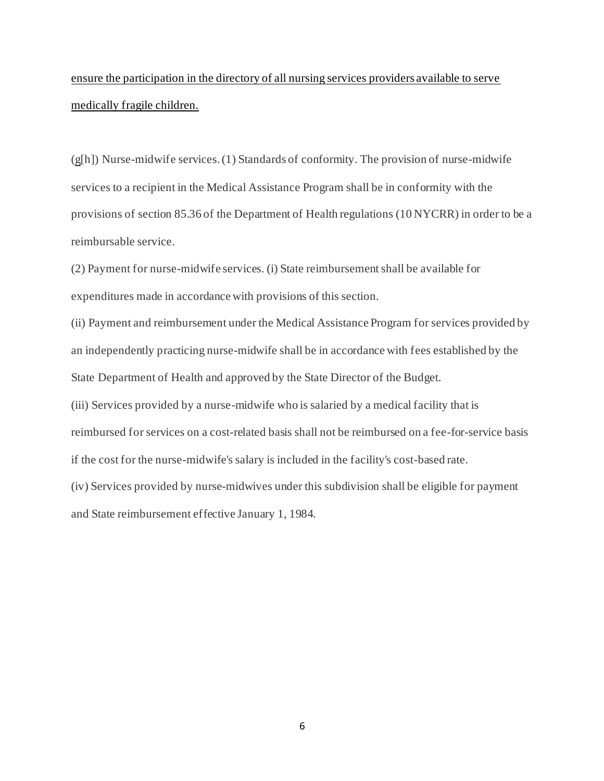# ensure the participation in the directory of all nursing services providers available to serve medically fragile children.

 (g[h]) Nurse-midwife services. (1) Standards of conformity. The provision of nurse-midwife services to a recipient in the Medical Assistance Program shall be in conformity with the provisions of section 85.36 of the Department of Health regulations (10 NYCRR) in order to be a reimbursable service.

 (2) Payment for nurse-midwife services. (i) State reimbursement shall be available for expenditures made in accordance with provisions of this section.

 (ii) Payment and reimbursement under the Medical Assistance Program for services provided by an independently practicing nurse-midwife shall be in accordance with fees established by the State Department of Health and approved by the State Director of the Budget.

 (iii) Services provided by a nurse-midwife who is salaried by a medical facility that is reimbursed for services on a cost-related basis shall not be reimbursed on a fee-for-service basis if the cost for the nurse-midwife's salary is included in the facility's cost-based rate.

 (iv) Services provided by nurse-midwives under this subdivision shall be eligible for payment and State reimbursement effective January 1, 1984.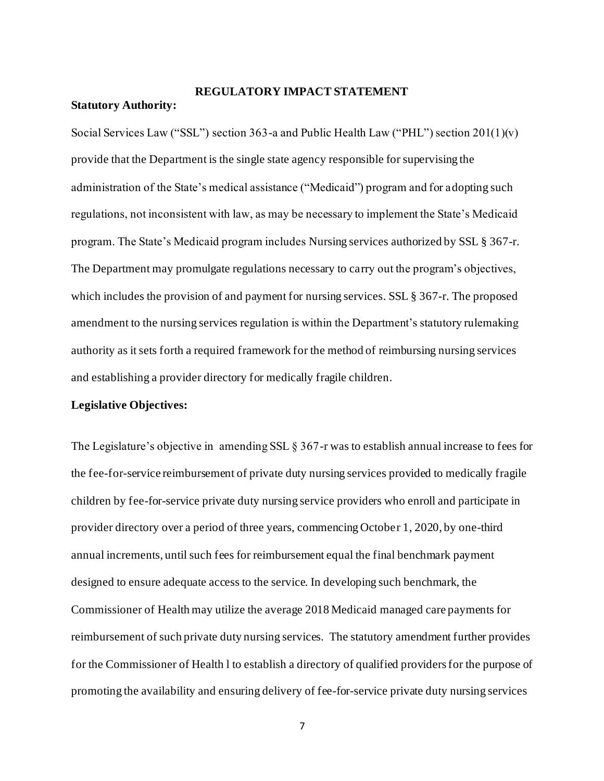## **REGULATORY IMPACT STATEMENT**

#### **Statutory Authority:**

 Social Services Law ("SSL") section 363-a and Public Health Law ("PHL") section 201(1)(v) provide that the Department is the single state agency responsible for supervising the administration of the State's medical assistance ("Medicaid") program and for adopting such regulations, not inconsistent with law, as may be necessary to implement the State's Medicaid program. The State's Medicaid program includes Nursing services authorized by SSL § 367-r. The Department may promulgate regulations necessary to carry out the program's objectives, which includes the provision of and payment for nursing services. SSL § 367-r. The proposed amendment to the nursing services regulation is within the Department's statutory rulemaking authority as it sets forth a required framework for the method of reimbursing nursing services and establishing a provider directory for medically fragile children.

#### **Legislative Objectives:**

 The Legislature's objective in amending SSL § 367-r was to establish annual increase to fees for the fee-for-service reimbursement of private duty nursing services provided to medically fragile children by fee-for-service private duty nursing service providers who enroll and participate in provider directory over a period of three years, commencing October 1, 2020, by one-third annual increments, until such fees for reimbursement equal the final benchmark payment designed to ensure adequate access to the service. In developing such benchmark, the Commissioner of Health may utilize the average 2018 Medicaid managed care payments for reimbursement of such private duty nursing services. The statutory amendment further provides for the Commissioner of Health l to establish a directory of qualified providers for the purpose of promoting the availability and ensuring delivery of fee-for-service private duty nursing services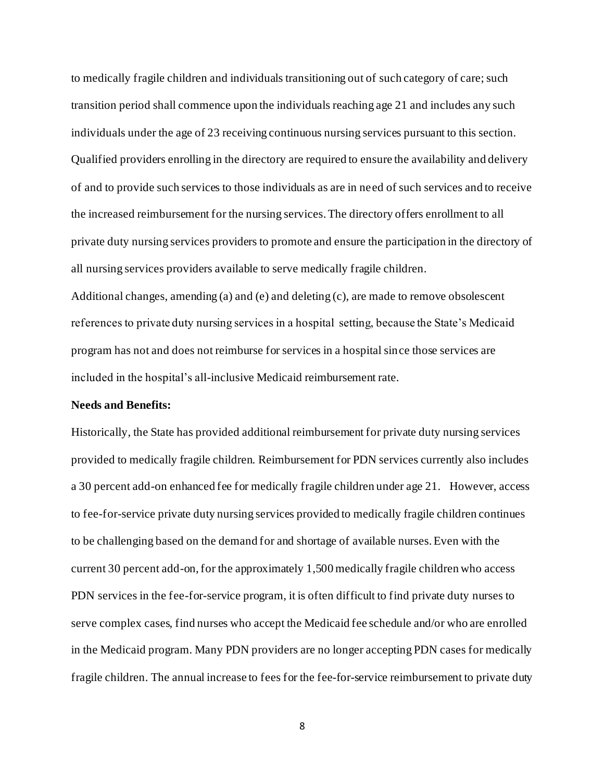to medically fragile children and individuals transitioning out of such category of care; such transition period shall commence upon the individuals reaching age 21 and includes any such individuals under the age of 23 receiving continuous nursing services pursuant to this section. Qualified providers enrolling in the directory are required to ensure the availability and delivery of and to provide such services to those individuals as are in need of such services and to receive the increased reimbursement for the nursing services. The directory offers enrollment to all private duty nursing services providers to promote and ensure the participation in the directory of all nursing services providers available to serve medically fragile children.

 Additional changes, amending (a) and (e) and deleting (c), are made to remove obsolescent references to private duty nursing services in a hospital setting, because the State's Medicaid program has not and does not reimburse for services in a hospital since those services are included in the hospital's all-inclusive Medicaid reimbursement rate.

### **Needs and Benefits:**

 Historically, the State has provided additional reimbursement for private duty nursing services provided to medically fragile children. Reimbursement for PDN services currently also includes a 30 percent add-on enhanced fee for medically fragile children under age 21. However, access to fee-for-service private duty nursing services provided to medically fragile children continues to be challenging based on the demand for and shortage of available nurses. Even with the current 30 percent add-on, for the approximately 1,500 medically fragile children who access PDN services in the fee-for-service program, it is often difficult to find private duty nurses to serve complex cases, find nurses who accept the Medicaid fee schedule and/or who are enrolled in the Medicaid program. Many PDN providers are no longer accepting PDN cases for medically fragile children. The annual increase to fees for the fee-for-service reimbursement to private duty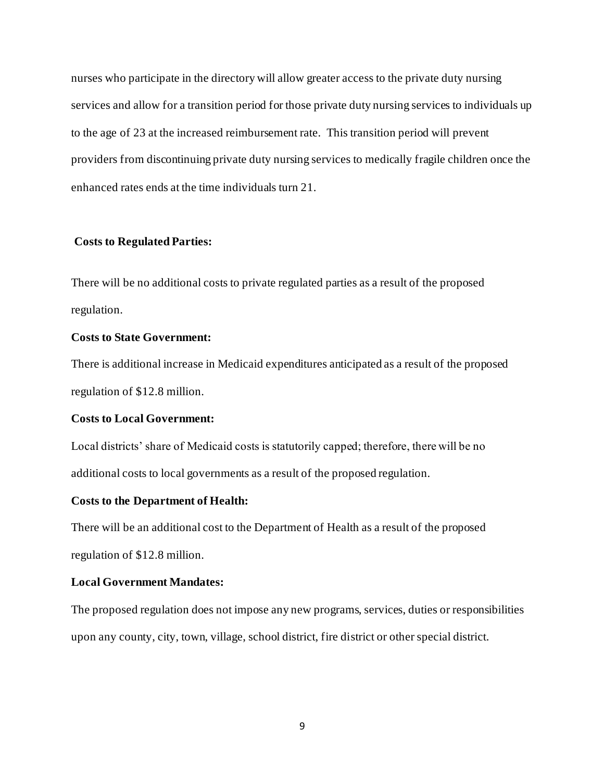nurses who participate in the directory will allow greater access to the private duty nursing services and allow for a transition period for those private duty nursing services to individuals up to the age of 23 at the increased reimbursement rate. This transition period will prevent providers from discontinuing private duty nursing services to medically fragile children once the enhanced rates ends at the time individuals turn 21.

### **Costs to Regulated Parties:**

 There will be no additional costs to private regulated parties as a result of the proposed regulation.

### **Costs to State Government:**

 There is additional increase in Medicaid expenditures anticipated as a result of the proposed regulation of \$12.8 million.

### **Costs to Local Government:**

 Local districts' share of Medicaid costs is statutorily capped; therefore, there will be no additional costs to local governments as a result of the proposed regulation.

### **Costs to the Department of Health:**

 There will be an additional cost to the Department of Health as a result of the proposed regulation of \$12.8 million.

# **Local Government Mandates:**

 The proposed regulation does not impose any new programs, services, duties or responsibilities upon any county, city, town, village, school district, fire district or other special district.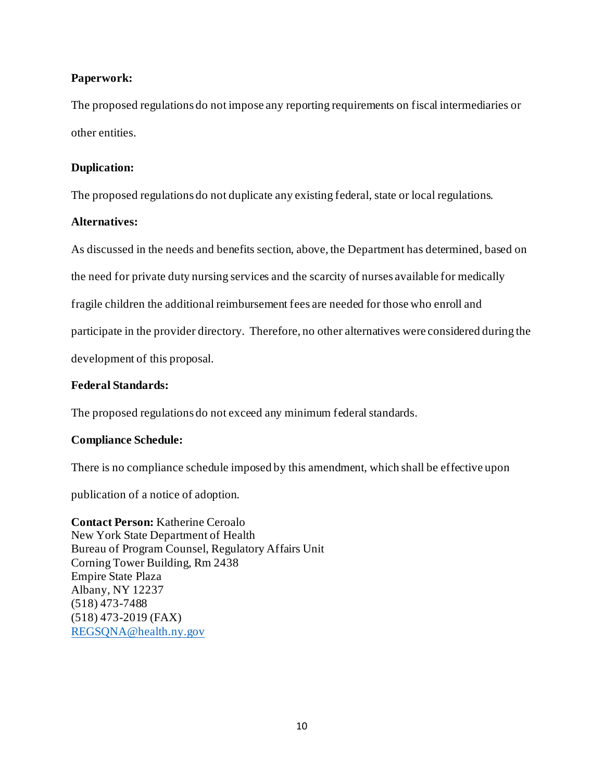## **Paperwork:**

 The proposed regulations do not impose any reporting requirements on fiscal intermediaries or other entities.

## **Duplication:**

The proposed regulations do not duplicate any existing federal, state or local regulations.

## **Alternatives:**

 As discussed in the needs and benefits section, above, the Department has determined, based on the need for private duty nursing services and the scarcity of nurses available for medically fragile children the additional reimbursement fees are needed for those who enroll and participate in the provider directory. Therefore, no other alternatives were considered during the development of this proposal.

# **Federal Standards:**

The proposed regulations do not exceed any minimum federal standards.

# **Compliance Schedule:**

There is no compliance schedule imposed by this amendment, which shall be effective upon

publication of a notice of adoption.

 **Contact Person:** Katherine Ceroalo New York State Department of Health Bureau of Program Counsel, Regulatory Affairs Unit Corning Tower Building, Rm 2438 Empire State Plaza Albany, NY 12237 (518) 473-7488 (518) 473-2019 (FAX) [REGSQNA@health.ny.gov](mailto:REGSQNA@health.ny.gov)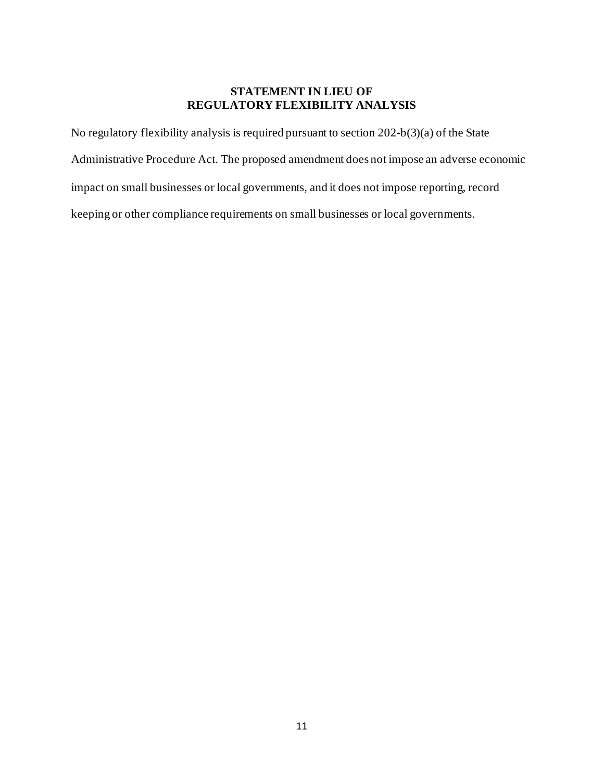## **STATEMENT IN LIEU OF REGULATORY FLEXIBILITY ANALYSIS**

 No regulatory flexibility analysis is required pursuant to section 202-b(3)(a) of the State Administrative Procedure Act. The proposed amendment does not impose an adverse economic impact on small businesses or local governments, and it does not impose reporting, record keeping or other compliance requirements on small businesses or local governments.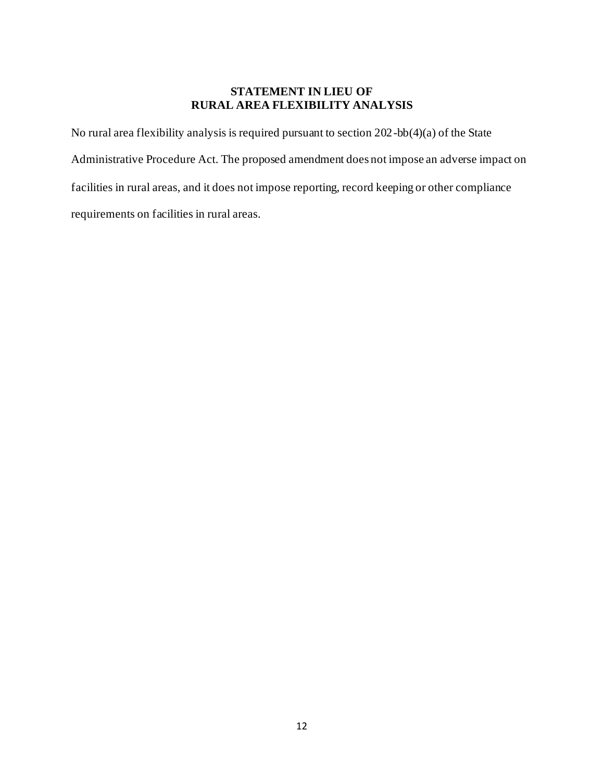## **STATEMENT IN LIEU OF RURAL AREA FLEXIBILITY ANALYSIS**

 No rural area flexibility analysis is required pursuant to section 202-bb(4)(a) of the State Administrative Procedure Act. The proposed amendment does not impose an adverse impact on facilities in rural areas, and it does not impose reporting, record keeping or other compliance requirements on facilities in rural areas.